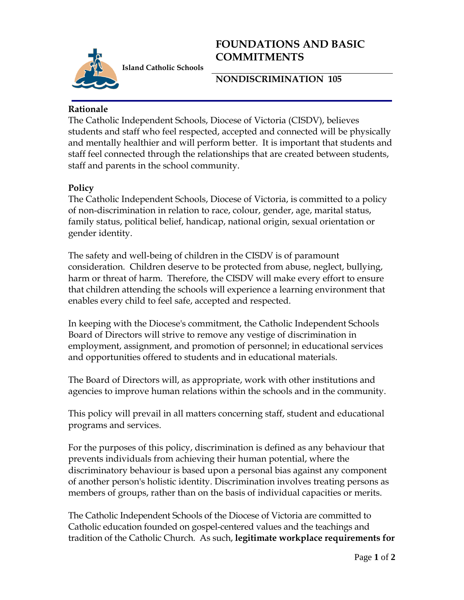

**FOUNDATIONS AND BASIC COMMITMENTS**

**NONDISCRIMINATION 105**

## **Rationale**

The Catholic Independent Schools, Diocese of Victoria (CISDV), believes students and staff who feel respected, accepted and connected will be physically and mentally healthier and will perform better. It is important that students and staff feel connected through the relationships that are created between students, staff and parents in the school community.

## **Policy**

The Catholic Independent Schools, Diocese of Victoria, is committed to a policy of non-discrimination in relation to race, colour, gender, age, marital status, family status, political belief, handicap, national origin, sexual orientation or gender identity.

The safety and well-being of children in the CISDV is of paramount consideration. Children deserve to be protected from abuse, neglect, bullying, harm or threat of harm. Therefore, the CISDV will make every effort to ensure that children attending the schools will experience a learning environment that enables every child to feel safe, accepted and respected.

In keeping with the Diocese's commitment, the Catholic Independent Schools Board of Directors will strive to remove any vestige of discrimination in employment, assignment, and promotion of personnel; in educational services and opportunities offered to students and in educational materials.

The Board of Directors will, as appropriate, work with other institutions and agencies to improve human relations within the schools and in the community.

This policy will prevail in all matters concerning staff, student and educational programs and services.

For the purposes of this policy, discrimination is defined as any behaviour that prevents individuals from achieving their human potential, where the discriminatory behaviour is based upon a personal bias against any component of another person's holistic identity. Discrimination involves treating persons as members of groups, rather than on the basis of individual capacities or merits.

The Catholic Independent Schools of the Diocese of Victoria are committed to Catholic education founded on gospel-centered values and the teachings and tradition of the Catholic Church. As such, **legitimate workplace requirements for**